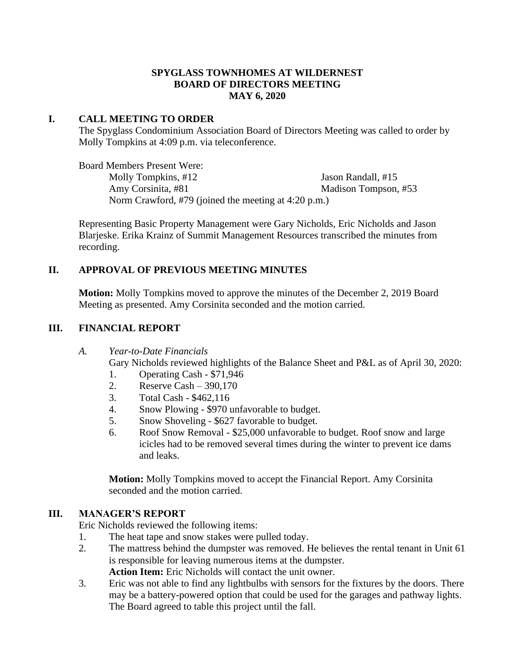### **SPYGLASS TOWNHOMES AT WILDERNEST BOARD OF DIRECTORS MEETING MAY 6, 2020**

## **I. CALL MEETING TO ORDER**

The Spyglass Condominium Association Board of Directors Meeting was called to order by Molly Tompkins at 4:09 p.m. via teleconference.

Board Members Present Were: Molly Tompkins, #12 Jason Randall, #15 Amy Corsinita, #81 Madison Tompson, #53 Norm Crawford, #79 (joined the meeting at 4:20 p.m.)

Representing Basic Property Management were Gary Nicholds, Eric Nicholds and Jason Blarjeske. Erika Krainz of Summit Management Resources transcribed the minutes from recording.

# **II. APPROVAL OF PREVIOUS MEETING MINUTES**

**Motion:** Molly Tompkins moved to approve the minutes of the December 2, 2019 Board Meeting as presented. Amy Corsinita seconded and the motion carried.

## **III. FINANCIAL REPORT**

#### *A. Year-to-Date Financials*

Gary Nicholds reviewed highlights of the Balance Sheet and P&L as of April 30, 2020:

- 1. Operating Cash \$71,946
- 2. Reserve Cash 390,170
- 3. Total Cash \$462,116
- 4. Snow Plowing \$970 unfavorable to budget.
- 5. Snow Shoveling \$627 favorable to budget.
- 6. Roof Snow Removal \$25,000 unfavorable to budget. Roof snow and large icicles had to be removed several times during the winter to prevent ice dams and leaks.

**Motion:** Molly Tompkins moved to accept the Financial Report. Amy Corsinita seconded and the motion carried.

#### **III. MANAGER'S REPORT**

Eric Nicholds reviewed the following items:

- 1. The heat tape and snow stakes were pulled today.
- 2. The mattress behind the dumpster was removed. He believes the rental tenant in Unit 61 is responsible for leaving numerous items at the dumpster.

**Action Item:** Eric Nicholds will contact the unit owner.

3. Eric was not able to find any lightbulbs with sensors for the fixtures by the doors. There may be a battery-powered option that could be used for the garages and pathway lights. The Board agreed to table this project until the fall.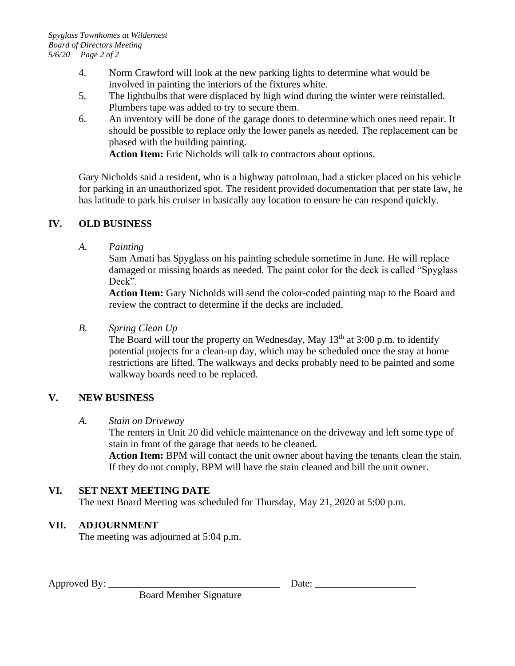- 4. Norm Crawford will look at the new parking lights to determine what would be involved in painting the interiors of the fixtures white.
- 5. The lightbulbs that were displaced by high wind during the winter were reinstalled. Plumbers tape was added to try to secure them.
- 6. An inventory will be done of the garage doors to determine which ones need repair. It should be possible to replace only the lower panels as needed. The replacement can be phased with the building painting. **Action Item:** Eric Nicholds will talk to contractors about options.

Gary Nicholds said a resident, who is a highway patrolman, had a sticker placed on his vehicle for parking in an unauthorized spot. The resident provided documentation that per state law, he has latitude to park his cruiser in basically any location to ensure he can respond quickly.

# **IV. OLD BUSINESS**

*A. Painting*

Sam Amati has Spyglass on his painting schedule sometime in June. He will replace damaged or missing boards as needed. The paint color for the deck is called "Spyglass Deck".

**Action Item:** Gary Nicholds will send the color-coded painting map to the Board and review the contract to determine if the decks are included.

# *B. Spring Clean Up*

The Board will tour the property on Wednesday, May  $13<sup>th</sup>$  at 3:00 p.m. to identify potential projects for a clean-up day, which may be scheduled once the stay at home restrictions are lifted. The walkways and decks probably need to be painted and some walkway boards need to be replaced.

# **V. NEW BUSINESS**

# *A. Stain on Driveway*

The renters in Unit 20 did vehicle maintenance on the driveway and left some type of stain in front of the garage that needs to be cleaned.

**Action Item:** BPM will contact the unit owner about having the tenants clean the stain. If they do not comply, BPM will have the stain cleaned and bill the unit owner.

# **VI. SET NEXT MEETING DATE**

The next Board Meeting was scheduled for Thursday, May 21, 2020 at 5:00 p.m.

# **VII. ADJOURNMENT**

The meeting was adjourned at 5:04 p.m.

Approved By: \_\_\_\_\_\_\_\_\_\_\_\_\_\_\_\_\_\_\_\_\_\_\_\_\_\_\_\_\_\_\_\_\_\_ Date: \_\_\_\_\_\_\_\_\_\_\_\_\_\_\_\_\_\_\_\_

Board Member Signature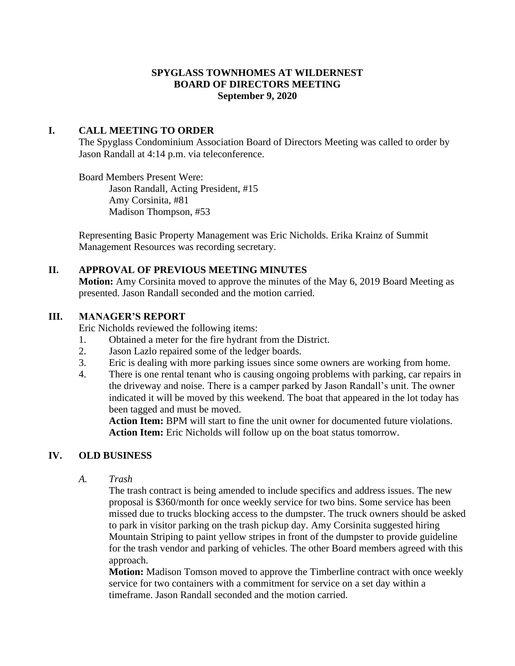## **SPYGLASS TOWNHOMES AT WILDERNEST BOARD OF DIRECTORS MEETING September 9, 2020**

## **I. CALL MEETING TO ORDER**

The Spyglass Condominium Association Board of Directors Meeting was called to order by Jason Randall at 4:14 p.m. via teleconference.

Board Members Present Were: Jason Randall, Acting President, #15 Amy Corsinita, #81 Madison Thompson, #53

Representing Basic Property Management was Eric Nicholds. Erika Krainz of Summit Management Resources was recording secretary.

## **II. APPROVAL OF PREVIOUS MEETING MINUTES**

**Motion:** Amy Corsinita moved to approve the minutes of the May 6, 2019 Board Meeting as presented. Jason Randall seconded and the motion carried.

## **III. MANAGER'S REPORT**

Eric Nicholds reviewed the following items:

- 1. Obtained a meter for the fire hydrant from the District.
- 2. Jason Lazlo repaired some of the ledger boards.
- 3. Eric is dealing with more parking issues since some owners are working from home.
- 4. There is one rental tenant who is causing ongoing problems with parking, car repairs in the driveway and noise. There is a camper parked by Jason Randall's unit. The owner indicated it will be moved by this weekend. The boat that appeared in the lot today has been tagged and must be moved.

**Action Item:** BPM will start to fine the unit owner for documented future violations. **Action Item:** Eric Nicholds will follow up on the boat status tomorrow.

# **IV. OLD BUSINESS**

*A. Trash*

The trash contract is being amended to include specifics and address issues. The new proposal is \$360/month for once weekly service for two bins. Some service has been missed due to trucks blocking access to the dumpster. The truck owners should be asked to park in visitor parking on the trash pickup day. Amy Corsinita suggested hiring Mountain Striping to paint yellow stripes in front of the dumpster to provide guideline for the trash vendor and parking of vehicles. The other Board members agreed with this approach.

**Motion:** Madison Tomson moved to approve the Timberline contract with once weekly service for two containers with a commitment for service on a set day within a timeframe. Jason Randall seconded and the motion carried.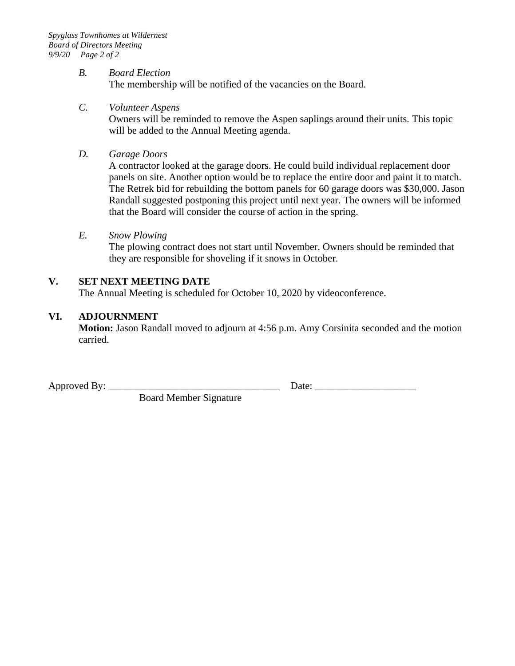#### *B. Board Election*

The membership will be notified of the vacancies on the Board.

### *C. Volunteer Aspens*

Owners will be reminded to remove the Aspen saplings around their units. This topic will be added to the Annual Meeting agenda.

*D. Garage Doors*

A contractor looked at the garage doors. He could build individual replacement door panels on site. Another option would be to replace the entire door and paint it to match. The Retrek bid for rebuilding the bottom panels for 60 garage doors was \$30,000. Jason Randall suggested postponing this project until next year. The owners will be informed that the Board will consider the course of action in the spring.

#### *E. Snow Plowing*

The plowing contract does not start until November. Owners should be reminded that they are responsible for shoveling if it snows in October.

## **V. SET NEXT MEETING DATE**

The Annual Meeting is scheduled for October 10, 2020 by videoconference.

#### **VI. ADJOURNMENT**

**Motion:** Jason Randall moved to adjourn at 4:56 p.m. Amy Corsinita seconded and the motion carried.

Board Member Signature

Approved By: \_\_\_\_\_\_\_\_\_\_\_\_\_\_\_\_\_\_\_\_\_\_\_\_\_\_\_\_\_\_\_\_\_\_ Date: \_\_\_\_\_\_\_\_\_\_\_\_\_\_\_\_\_\_\_\_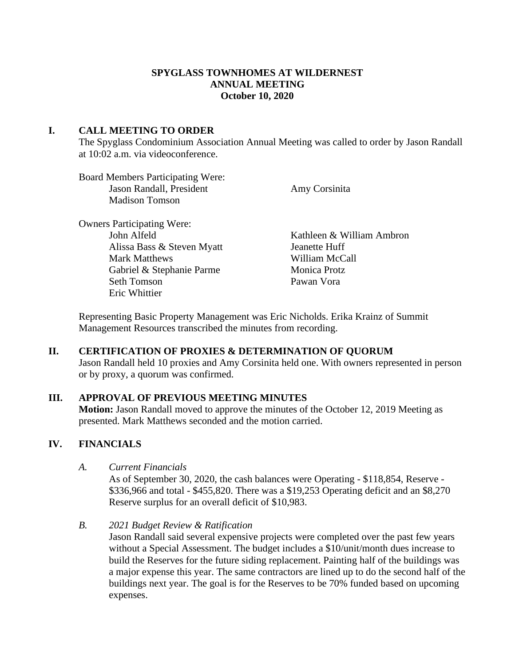## **SPYGLASS TOWNHOMES AT WILDERNEST ANNUAL MEETING October 10, 2020**

## **I. CALL MEETING TO ORDER**

The Spyglass Condominium Association Annual Meeting was called to order by Jason Randall at 10:02 a.m. via videoconference.

Board Members Participating Were: Jason Randall, President Amy Corsinita Madison Tomson

Owners Participating Were: Alissa Bass & Steven Myatt Jeanette Huff Mark Matthews William McCall Gabriel & Stephanie Parme Monica Protz Seth Tomson Pawan Vora Eric Whittier

John Alfeld Kathleen & William Ambron

Representing Basic Property Management was Eric Nicholds. Erika Krainz of Summit Management Resources transcribed the minutes from recording.

#### **II. CERTIFICATION OF PROXIES & DETERMINATION OF QUORUM**

Jason Randall held 10 proxies and Amy Corsinita held one. With owners represented in person or by proxy, a quorum was confirmed.

#### **III. APPROVAL OF PREVIOUS MEETING MINUTES**

**Motion:** Jason Randall moved to approve the minutes of the October 12, 2019 Meeting as presented. Mark Matthews seconded and the motion carried.

## **IV. FINANCIALS**

*A. Current Financials* 

As of September 30, 2020, the cash balances were Operating - \$118,854, Reserve - \$336,966 and total - \$455,820. There was a \$19,253 Operating deficit and an \$8,270 Reserve surplus for an overall deficit of \$10,983.

*B. 2021 Budget Review & Ratification*

Jason Randall said several expensive projects were completed over the past few years without a Special Assessment. The budget includes a \$10/unit/month dues increase to build the Reserves for the future siding replacement. Painting half of the buildings was a major expense this year. The same contractors are lined up to do the second half of the buildings next year. The goal is for the Reserves to be 70% funded based on upcoming expenses.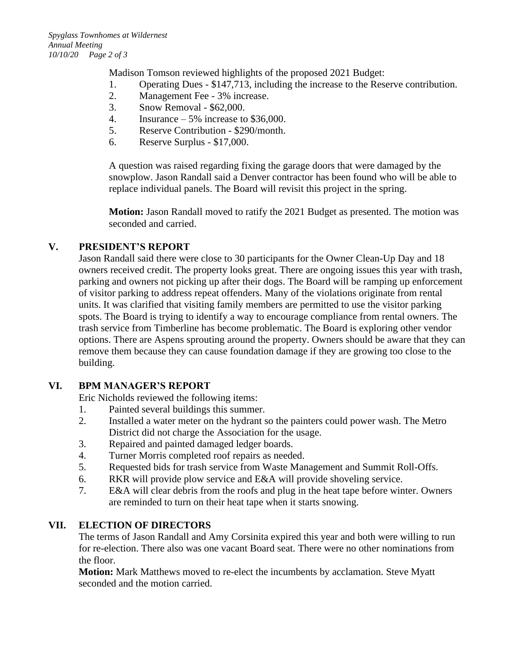Madison Tomson reviewed highlights of the proposed 2021 Budget:

- 1. Operating Dues \$147,713, including the increase to the Reserve contribution.
- 2. Management Fee 3% increase.
- 3. Snow Removal \$62,000.
- 4. Insurance 5% increase to \$36,000.
- 5. Reserve Contribution \$290/month.
- 6. Reserve Surplus \$17,000.

A question was raised regarding fixing the garage doors that were damaged by the snowplow. Jason Randall said a Denver contractor has been found who will be able to replace individual panels. The Board will revisit this project in the spring.

**Motion:** Jason Randall moved to ratify the 2021 Budget as presented. The motion was seconded and carried.

# **V. PRESIDENT'S REPORT**

Jason Randall said there were close to 30 participants for the Owner Clean-Up Day and 18 owners received credit. The property looks great. There are ongoing issues this year with trash, parking and owners not picking up after their dogs. The Board will be ramping up enforcement of visitor parking to address repeat offenders. Many of the violations originate from rental units. It was clarified that visiting family members are permitted to use the visitor parking spots. The Board is trying to identify a way to encourage compliance from rental owners. The trash service from Timberline has become problematic. The Board is exploring other vendor options. There are Aspens sprouting around the property. Owners should be aware that they can remove them because they can cause foundation damage if they are growing too close to the building.

# **VI. BPM MANAGER'S REPORT**

Eric Nicholds reviewed the following items:

- 1. Painted several buildings this summer.
- 2. Installed a water meter on the hydrant so the painters could power wash. The Metro District did not charge the Association for the usage.
- 3. Repaired and painted damaged ledger boards.
- 4. Turner Morris completed roof repairs as needed.
- 5. Requested bids for trash service from Waste Management and Summit Roll-Offs.
- 6. RKR will provide plow service and E&A will provide shoveling service.
- 7. E&A will clear debris from the roofs and plug in the heat tape before winter. Owners are reminded to turn on their heat tape when it starts snowing.

# **VII. ELECTION OF DIRECTORS**

The terms of Jason Randall and Amy Corsinita expired this year and both were willing to run for re-election. There also was one vacant Board seat. There were no other nominations from the floor.

**Motion:** Mark Matthews moved to re-elect the incumbents by acclamation. Steve Myatt seconded and the motion carried.